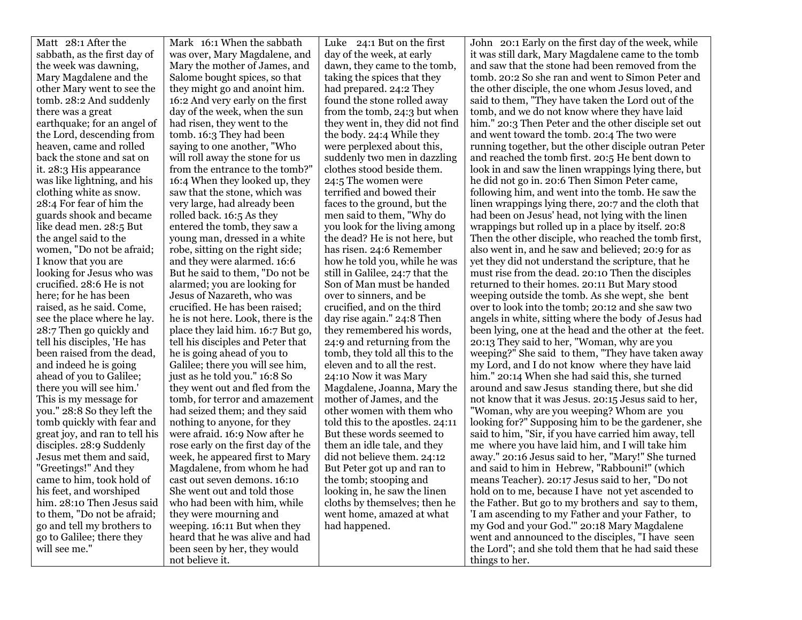| Matt 28:1 After the            | Mark 16:1 When the sabbath                                      | Luke 24:1 But on the first       | John 20:1 Early on the first day of the week, while                                                      |
|--------------------------------|-----------------------------------------------------------------|----------------------------------|----------------------------------------------------------------------------------------------------------|
| sabbath, as the first day of   | was over, Mary Magdalene, and                                   | day of the week, at early        | it was still dark, Mary Magdalene came to the tomb                                                       |
| the week was dawning,          | Mary the mother of James, and                                   | dawn, they came to the tomb,     | and saw that the stone had been removed from the                                                         |
| Mary Magdalene and the         | Salome bought spices, so that                                   | taking the spices that they      | tomb. 20:2 So she ran and went to Simon Peter and                                                        |
| other Mary went to see the     | they might go and anoint him.                                   | had prepared. 24:2 They          | the other disciple, the one whom Jesus loved, and                                                        |
| tomb. 28:2 And suddenly        | 16:2 And very early on the first                                | found the stone rolled away      | said to them, "They have taken the Lord out of the                                                       |
| there was a great              | day of the week, when the sun                                   | from the tomb, 24:3 but when     | tomb, and we do not know where they have laid                                                            |
| earthquake; for an angel of    | had risen, they went to the                                     | they went in, they did not find  | him." 20:3 Then Peter and the other disciple set out                                                     |
| the Lord, descending from      | tomb. 16:3 They had been                                        | the body. 24:4 While they        | and went toward the tomb. 20:4 The two were                                                              |
| heaven, came and rolled        | saying to one another, "Who                                     | were perplexed about this,       | running together, but the other disciple outran Peter                                                    |
| back the stone and sat on      | will roll away the stone for us                                 | suddenly two men in dazzling     | and reached the tomb first. 20:5 He bent down to                                                         |
| it. 28:3 His appearance        | from the entrance to the tomb?"                                 | clothes stood beside them.       | look in and saw the linen wrappings lying there, but                                                     |
| was like lightning, and his    | 16:4 When they looked up, they                                  | 24:5 The women were              | he did not go in. 20:6 Then Simon Peter came,                                                            |
| clothing white as snow.        | saw that the stone, which was                                   | terrified and bowed their        | following him, and went into the tomb. He saw the                                                        |
| 28:4 For fear of him the       | very large, had already been                                    | faces to the ground, but the     | linen wrappings lying there, 20:7 and the cloth that                                                     |
| guards shook and became        | rolled back. 16:5 As they                                       | men said to them, "Why do        | had been on Jesus' head, not lying with the linen                                                        |
| like dead men. 28:5 But        | entered the tomb, they saw a                                    | you look for the living among    | wrappings but rolled up in a place by itself. 20:8                                                       |
| the angel said to the          | young man, dressed in a white                                   | the dead? He is not here, but    | Then the other disciple, who reached the tomb first,                                                     |
| women, "Do not be afraid;      | robe, sitting on the right side;                                | has risen. 24:6 Remember         | also went in, and he saw and believed; 20:9 for as                                                       |
| I know that you are            | and they were alarmed. 16:6                                     | how he told you, while he was    | yet they did not understand the scripture, that he                                                       |
| looking for Jesus who was      | But he said to them, "Do not be                                 | still in Galilee, 24:7 that the  | must rise from the dead. 20:10 Then the disciples                                                        |
| crucified. 28:6 He is not      | alarmed; you are looking for                                    | Son of Man must be handed        | returned to their homes. 20:11 But Mary stood                                                            |
| here; for he has been          | Jesus of Nazareth, who was                                      | over to sinners, and be          | weeping outside the tomb. As she wept, she bent                                                          |
| raised, as he said. Come,      | crucified. He has been raised;                                  | crucified, and on the third      | over to look into the tomb; 20:12 and she saw two                                                        |
| see the place where he lay.    | he is not here. Look, there is the                              | day rise again." 24:8 Then       | angels in white, sitting where the body of Jesus had                                                     |
| 28:7 Then go quickly and       | place they laid him. 16:7 But go,                               | they remembered his words,       | been lying, one at the head and the other at the feet.                                                   |
| tell his disciples, 'He has    | tell his disciples and Peter that                               | 24:9 and returning from the      | 20:13 They said to her, "Woman, why are you                                                              |
| been raised from the dead,     | he is going ahead of you to                                     | tomb, they told all this to the  | weeping?" She said to them, "They have taken away                                                        |
| and indeed he is going         | Galilee; there you will see him,                                | eleven and to all the rest.      | my Lord, and I do not know where they have laid                                                          |
| ahead of you to Galilee;       | just as he told you." 16:8 So                                   | 24:10 Now it was Mary            | him." 20:14 When she had said this, she turned                                                           |
| there you will see him.'       | they went out and fled from the                                 | Magdalene, Joanna, Mary the      | around and saw Jesus standing there, but she did                                                         |
| This is my message for         | tomb, for terror and amazement                                  | mother of James, and the         | not know that it was Jesus. 20:15 Jesus said to her,                                                     |
| you." 28:8 So they left the    | had seized them; and they said                                  | other women with them who        | "Woman, why are you weeping? Whom are you                                                                |
| tomb quickly with fear and     | nothing to anyone, for they                                     | told this to the apostles. 24:11 | looking for?" Supposing him to be the gardener, she                                                      |
| great joy, and ran to tell his | were afraid. 16:9 Now after he                                  | But these words seemed to        | said to him, "Sir, if you have carried him away, tell                                                    |
| disciples. 28:9 Suddenly       | rose early on the first day of the                              | them an idle tale, and they      | me where you have laid him, and I will take him                                                          |
| Jesus met them and said,       | week, he appeared first to Mary                                 | did not believe them. 24:12      | away." 20:16 Jesus said to her, "Mary!" She turned                                                       |
| "Greetings!" And they          | Magdalene, from whom he had                                     | But Peter got up and ran to      | and said to him in Hebrew, "Rabbouni!" (which                                                            |
| came to him, took hold of      | cast out seven demons. 16:10                                    | the tomb; stooping and           | means Teacher). 20:17 Jesus said to her, "Do not                                                         |
| his feet, and worshiped        | She went out and told those                                     | looking in, he saw the linen     | hold on to me, because I have not yet ascended to                                                        |
| him. 28:10 Then Jesus said     | who had been with him, while                                    | cloths by themselves; then he    | the Father. But go to my brothers and say to them,                                                       |
| to them, "Do not be afraid;    | they were mourning and                                          | went home, amazed at what        | 'I am ascending to my Father and your Father, to                                                         |
| go and tell my brothers to     | weeping. 16:11 But when they                                    | had happened.                    | my God and your God." 20:18 Mary Magdalene                                                               |
| go to Galilee; there they      |                                                                 |                                  |                                                                                                          |
|                                |                                                                 |                                  |                                                                                                          |
| will see me."                  | heard that he was alive and had<br>been seen by her, they would |                                  | went and announced to the disciples, "I have seen<br>the Lord"; and she told them that he had said these |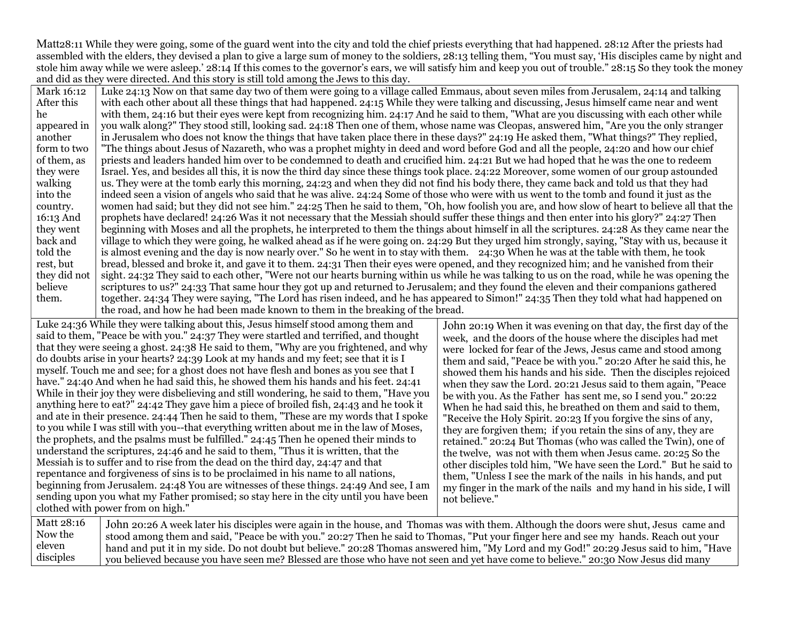Matt28:11 While they were going, some of the guard went into the city and told the chief priests everything that had happened. 28:12 After the priests had assembled with the elders, they devised a plan to give a large sum of money to the soldiers, 28:13 telling them, "You must say, 'His disciples came by night and stole him away while we were asleep.' 28:14 If this comes to the governor's ears, we will satisfy him and keep you out of trouble." 28:15 So they took the money and did as they were directed. And this story is still told among the Jews to this day.

Mark 16:12 After this he appeared in another form to two of them, as they were walking into the country. 16:13 And they went back and told the rest, but they did not believe them. Luke 24:13 Now on that same day two of them were going to a village called Emmaus, about seven miles from Jerusalem, 24:14 and talking with each other about all these things that had happened. 24:15 While they were talking and discussing, Jesus himself came near and went with them, 24:16 but their eyes were kept from recognizing him. 24:17 And he said to them, "What are you discussing with each other while you walk along?" They stood still, looking sad. 24:18 Then one of them, whose name was Cleopas, answered him, "Are you the only stranger in Jerusalem who does not know the things that have taken place there in these days?" 24:19 He asked them, "What things?" They replied, "The things about Jesus of Nazareth, who was a prophet mighty in deed and word before God and all the people, 24:20 and how our chief priests and leaders handed him over to be condemned to death and crucified him. 24:21 But we had hoped that he was the one to redeem Israel. Yes, and besides all this, it is now the third day since these things took place. 24:22 Moreover, some women of our group astounded us. They were at the tomb early this morning, 24:23 and when they did not find his body there, they came back and told us that they had indeed seen a vision of angels who said that he was alive. 24:24 Some of those who were with us went to the tomb and found it just as the women had said; but they did not see him." 24:25 Then he said to them, "Oh, how foolish you are, and how slow of heart to believe all that the prophets have declared! 24:26 Was it not necessary that the Messiah should suffer these things and then enter into his glory?" 24:27 Then beginning with Moses and all the prophets, he interpreted to them the things about himself in all the scriptures. 24:28 As they came near the village to which they were going, he walked ahead as if he were going on. 24:29 But they urged him strongly, saying, "Stay with us, because it is almost evening and the day is now nearly over." So he went in to stay with them. 24:30 When he was at the table with them, he took bread, blessed and broke it, and gave it to them. 24:31 Then their eyes were opened, and they recognized him; and he vanished from their sight. 24:32 They said to each other, "Were not our hearts burning within us while he was talking to us on the road, while he was opening the scriptures to us?" 24:33 That same hour they got up and returned to Jerusalem; and they found the eleven and their companions gathered together. 24:34 They were saying, "The Lord has risen indeed, and he has appeared to Simon!" 24:35 Then they told what had happened on the road, and how he had been made known to them in the breaking of the bread.

Luke 24:36 While they were talking about this, Jesus himself stood among them and said to them, "Peace be with you." 24:37 They were startled and terrified, and thought that they were seeing a ghost. 24:38 He said to them, "Why are you frightened, and why do doubts arise in your hearts? 24:39 Look at my hands and my feet; see that it is I myself. Touch me and see; for a ghost does not have flesh and bones as you see that I have." 24:40 And when he had said this, he showed them his hands and his feet. 24:41 While in their joy they were disbelieving and still wondering, he said to them, "Have you anything here to eat?" 24:42 They gave him a piece of broiled fish, 24:43 and he took it and ate in their presence. 24:44 Then he said to them, "These are my words that I spoke to you while I was still with you--that everything written about me in the law of Moses, the prophets, and the psalms must be fulfilled." 24:45 Then he opened their minds to understand the scriptures, 24:46 and he said to them, "Thus it is written, that the Messiah is to suffer and to rise from the dead on the third day, 24:47 and that repentance and forgiveness of sins is to be proclaimed in his name to all nations, beginning from Jerusalem. 24:48 You are witnesses of these things. 24:49 And see, I am sending upon you what my Father promised; so stay here in the city until you have been clothed with power from on high."

John 20:19 When it was evening on that day, the first day of the week, and the doors of the house where the disciples had met were locked for fear of the Jews, Jesus came and stood among them and said, "Peace be with you." 20:20 After he said this, he showed them his hands and his side. Then the disciples rejoiced when they saw the Lord. 20:21 Jesus said to them again, "Peace be with you. As the Father has sent me, so I send you." 20:22 When he had said this, he breathed on them and said to them, "Receive the Holy Spirit. 20:23 If you forgive the sins of any, they are forgiven them; if you retain the sins of any, they are retained." 20:24 But Thomas (who was called the Twin), one of the twelve, was not with them when Jesus came. 20:25 So the other disciples told him, "We have seen the Lord." But he said to them, "Unless I see the mark of the nails in his hands, and put my finger in the mark of the nails and my hand in his side, I will not believe."

Matt 28:16 Now the eleven disciples John 20:26 A week later his disciples were again in the house, and Thomas was with them. Although the doors were shut, Jesus came and stood among them and said, "Peace be with you." 20:27 Then he said to Thomas, "Put your finger here and see my hands. Reach out your hand and put it in my side. Do not doubt but believe." 20:28 Thomas answered him, "My Lord and my God!" 20:29 Jesus said to him, "Have you believed because you have seen me? Blessed are those who have not seen and yet have come to believe." 20:30 Now Jesus did many